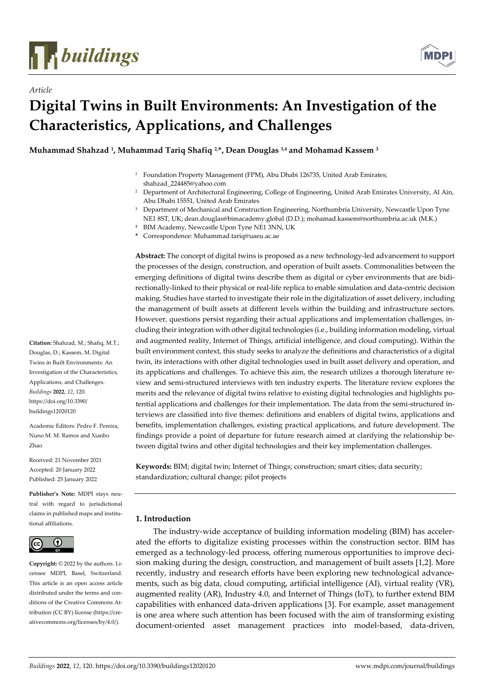

*Article*



# **Digital Twins in Built Environments: An Investigation of the Characteristics, Applications, and Challenges**

**Muhammad Shahzad <sup>1</sup> , Muhammad Tariq Shafiq 2,\*, Dean Douglas 3,4 and Mohamad Kassem <sup>3</sup>**

- <sup>1</sup> Foundation Property Management (FPM), Abu Dhabi 126735, United Arab Emirates; shahzad\_224485@yahoo.com
- <sup>2</sup> Department of Architectural Engineering, College of Engineering, United Arab Emirates University, Al Ain, Abu Dhabi 15551, United Arab Emirates
- <sup>3</sup> Department of Mechanical and Construction Engineering, Northumbria University, Newcastle Upon Tyne NE1 8ST, UK; dean.douglas@bimacademy.global (D.D.); mohamad.kassem@northumbria.ac.uk (M.K.)
- <sup>4</sup> BIM Academy, Newcastle Upon Tyne NE1 3NN, UK
- **\*** Correspondence: Muhammad.tariq@uaeu.ac.ae

**Abstract:** The concept of digital twins is proposed as a new technology-led advancement to support the processes of the design, construction, and operation of built assets. Commonalities between the emerging definitions of digital twins describe them as digital or cyber environments that are bidirectionally-linked to their physical or real-life replica to enable simulation and data-centric decision making. Studies have started to investigate their role in the digitalization of asset delivery, including the management of built assets at different levels within the building and infrastructure sectors. However, questions persist regarding their actual applications and implementation challenges, including their integration with other digital technologies (i.e., building information modeling, virtual and augmented reality, Internet of Things, artificial intelligence, and cloud computing). Within the built environment context, this study seeks to analyze the definitions and characteristics of a digital twin, its interactions with other digital technologies used in built asset delivery and operation, and its applications and challenges. To achieve this aim, the research utilizes a thorough literature review and semi-structured interviews with ten industry experts. The literature review explores the merits and the relevance of digital twins relative to existing digital technologies and highlights potential applications and challenges for their implementation. The data from the semi-structured interviews are classified into five themes: definitions and enablers of digital twins, applications and benefits, implementation challenges, existing practical applications, and future development. The findings provide a point of departure for future research aimed at clarifying the relationship between digital twins and other digital technologies and their key implementation challenges.

**Keywords:** BIM; digital twin; Internet of Things; construction; smart cities; data security; standardization; cultural change; pilot projects

# **1. Introduction**

The industry-wide acceptance of building information modeling (BIM) has accelerated the efforts to digitalize existing processes within the construction sector. BIM has emerged as a technology-led process, offering numerous opportunities to improve decision making during the design, construction, and management of built assets [1,2]. More recently, industry and research efforts have been exploring new technological advancements, such as big data, cloud computing, artificial intelligence (AI), virtual reality (VR), augmented reality (AR), Industry 4.0, and Internet of Things (IoT), to further extend BIM capabilities with enhanced data-driven applications [3]. For example, asset management is one area where such attention has been focused with the aim of transforming existing document-oriented asset management practices into model-based, data-driven,

**Citation:** Shahzad, M.; Shafiq, M.T.; Douglas, D.; Kassem, M. Digital Twins in Built Environments: An Investigation of the Characteristics, Applications, and Challenges. *Buildings* **2022**, *12*, 120. https://doi.org/10.3390/ buildings12020120

Academic Editors: Pedro F. Pereira, Nuno M. M. Ramos and Xianbo Zhao

Received: 21 November 2021 Accepted: 20 January 2022 Published: 25 January 2022

**Publisher's Note:** MDPI stays neutral with regard to jurisdictional claims in published maps and institutional affiliations.



**Copyright:** © 2022 by the authors. Licensee MDPI, Basel, Switzerland. This article is an open access article distributed under the terms and conditions of the Creative Commons Attribution (CC BY) license (https://creativecommons.org/licenses/by/4.0/).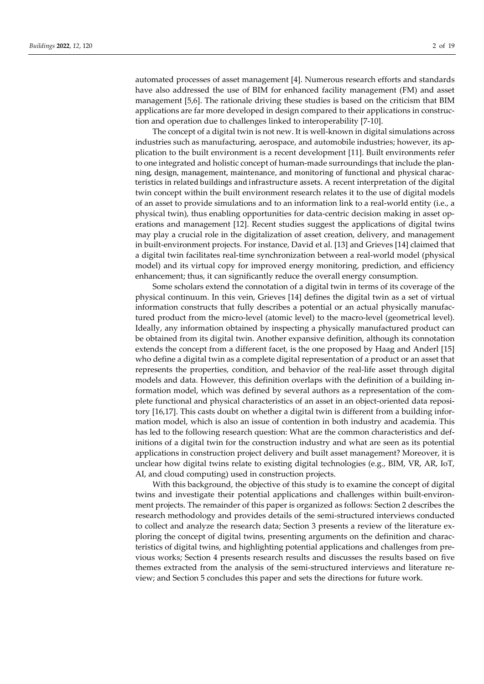automated processes of asset management [4]. Numerous research efforts and standards have also addressed the use of BIM for enhanced facility management (FM) and asset management [5,6]. The rationale driving these studies is based on the criticism that BIM applications are far more developed in design compared to their applications in construction and operation due to challenges linked to interoperability [7-10].

The concept of a digital twin is not new. It is well-known in digital simulations across industries such as manufacturing, aerospace, and automobile industries; however, its application to the built environment is a recent development [11]. Built environments refer to one integrated and holistic concept of human-made surroundings that include the planning, design, management, maintenance, and monitoring of functional and physical characteristics in related buildings and infrastructure assets. A recent interpretation of the digital twin concept within the built environment research relates it to the use of digital models of an asset to provide simulations and to an information link to a real-world entity (i.e., a physical twin), thus enabling opportunities for data-centric decision making in asset operations and management [12]. Recent studies suggest the applications of digital twins may play a crucial role in the digitalization of asset creation, delivery, and management in built-environment projects. For instance, David et al. [13] and Grieves [14] claimed that a digital twin facilitates real-time synchronization between a real-world model (physical model) and its virtual copy for improved energy monitoring, prediction, and efficiency enhancement; thus, it can significantly reduce the overall energy consumption.

Some scholars extend the connotation of a digital twin in terms of its coverage of the physical continuum. In this vein, Grieves [14] defines the digital twin as a set of virtual information constructs that fully describes a potential or an actual physically manufactured product from the micro-level (atomic level) to the macro-level (geometrical level). Ideally, any information obtained by inspecting a physically manufactured product can be obtained from its digital twin. Another expansive definition, although its connotation extends the concept from a different facet, is the one proposed by Haag and Anderl [15] who define a digital twin as a complete digital representation of a product or an asset that represents the properties, condition, and behavior of the real-life asset through digital models and data. However, this definition overlaps with the definition of a building information model, which was defined by several authors as a representation of the complete functional and physical characteristics of an asset in an object-oriented data repository [16,17]. This casts doubt on whether a digital twin is different from a building information model, which is also an issue of contention in both industry and academia. This has led to the following research question: What are the common characteristics and definitions of a digital twin for the construction industry and what are seen as its potential applications in construction project delivery and built asset management? Moreover, it is unclear how digital twins relate to existing digital technologies (e.g., BIM, VR, AR, IoT, AI, and cloud computing) used in construction projects.

With this background, the objective of this study is to examine the concept of digital twins and investigate their potential applications and challenges within built-environment projects. The remainder of this paper is organized as follows: Section 2 describes the research methodology and provides details of the semi-structured interviews conducted to collect and analyze the research data; Section 3 presents a review of the literature exploring the concept of digital twins, presenting arguments on the definition and characteristics of digital twins, and highlighting potential applications and challenges from previous works; Section 4 presents research results and discusses the results based on five themes extracted from the analysis of the semi-structured interviews and literature review; and Section 5 concludes this paper and sets the directions for future work.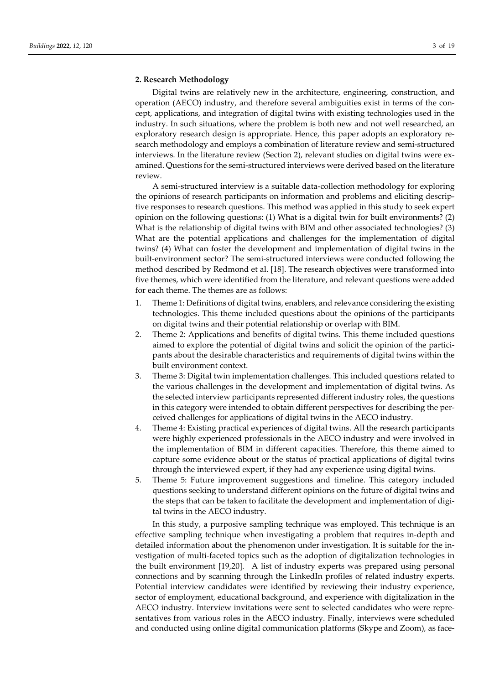#### **2. Research Methodology**

Digital twins are relatively new in the architecture, engineering, construction, and operation (AECO) industry, and therefore several ambiguities exist in terms of the concept, applications, and integration of digital twins with existing technologies used in the industry. In such situations, where the problem is both new and not well researched, an exploratory research design is appropriate. Hence, this paper adopts an exploratory research methodology and employs a combination of literature review and semi-structured interviews. In the literature review (Section 2), relevant studies on digital twins were examined. Questions for the semi-structured interviews were derived based on the literature review.

A semi-structured interview is a suitable data-collection methodology for exploring the opinions of research participants on information and problems and eliciting descriptive responses to research questions. This method was applied in this study to seek expert opinion on the following questions: (1) What is a digital twin for built environments? (2) What is the relationship of digital twins with BIM and other associated technologies? (3) What are the potential applications and challenges for the implementation of digital twins? (4) What can foster the development and implementation of digital twins in the built-environment sector? The semi-structured interviews were conducted following the method described by Redmond et al. [18]. The research objectives were transformed into five themes, which were identified from the literature, and relevant questions were added for each theme. The themes are as follows:

- 1. Theme 1: Definitions of digital twins, enablers, and relevance considering the existing technologies. This theme included questions about the opinions of the participants on digital twins and their potential relationship or overlap with BIM.
- 2. Theme 2: Applications and benefits of digital twins. This theme included questions aimed to explore the potential of digital twins and solicit the opinion of the participants about the desirable characteristics and requirements of digital twins within the built environment context.
- 3. Theme 3: Digital twin implementation challenges. This included questions related to the various challenges in the development and implementation of digital twins. As the selected interview participants represented different industry roles, the questions in this category were intended to obtain different perspectives for describing the perceived challenges for applications of digital twins in the AECO industry.
- 4. Theme 4: Existing practical experiences of digital twins. All the research participants were highly experienced professionals in the AECO industry and were involved in the implementation of BIM in different capacities. Therefore, this theme aimed to capture some evidence about or the status of practical applications of digital twins through the interviewed expert, if they had any experience using digital twins.
- 5. Theme 5: Future improvement suggestions and timeline. This category included questions seeking to understand different opinions on the future of digital twins and the steps that can be taken to facilitate the development and implementation of digital twins in the AECO industry.

In this study, a purposive sampling technique was employed. This technique is an effective sampling technique when investigating a problem that requires in-depth and detailed information about the phenomenon under investigation. It is suitable for the investigation of multi-faceted topics such as the adoption of digitalization technologies in the built environment [19,20]. A list of industry experts was prepared using personal connections and by scanning through the LinkedIn profiles of related industry experts. Potential interview candidates were identified by reviewing their industry experience, sector of employment, educational background, and experience with digitalization in the AECO industry. Interview invitations were sent to selected candidates who were representatives from various roles in the AECO industry. Finally, interviews were scheduled and conducted using online digital communication platforms (Skype and Zoom), as face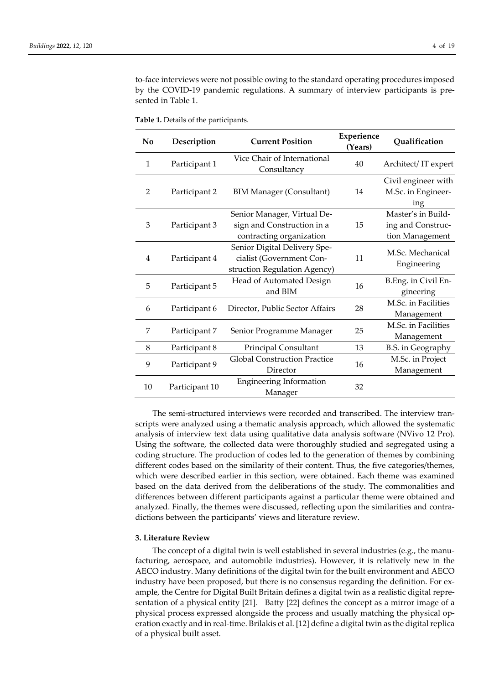to-face interviews were not possible owing to the standard operating procedures imposed by the COVID-19 pandemic regulations. A summary of interview participants is presented in Table 1.

| Table 1. Details of the participants. |  |
|---------------------------------------|--|
|---------------------------------------|--|

| No             | Description    | <b>Current Position</b>                                                                  | Experience<br>(Years) | Qualification                                              |
|----------------|----------------|------------------------------------------------------------------------------------------|-----------------------|------------------------------------------------------------|
| $\mathbf{1}$   | Participant 1  | Vice Chair of International<br>Consultancy                                               | 40                    | Architect/IT expert                                        |
| $\overline{2}$ | Participant 2  | <b>BIM Manager (Consultant)</b>                                                          | 14                    |                                                            |
| 3              | Participant 3  | Senior Manager, Virtual De-<br>sign and Construction in a<br>contracting organization    | 15                    | Master's in Build-<br>ing and Construc-<br>tion Management |
| 4              | Participant 4  | Senior Digital Delivery Spe-<br>cialist (Government Con-<br>struction Regulation Agency) | 11                    | M.Sc. Mechanical<br>Engineering                            |
| 5              | Participant 5  | Head of Automated Design<br>and BIM                                                      | 16                    | B.Eng. in Civil En-<br>gineering                           |
| 6              | Participant 6  | Director, Public Sector Affairs                                                          | 28                    | M.Sc. in Facilities<br>Management                          |
| 7              | Participant 7  | Senior Programme Manager                                                                 | 25                    | M.Sc. in Facilities<br>Management                          |
| 8              | Participant 8  | Principal Consultant                                                                     | 13                    | <b>B.S.</b> in Geography                                   |
| 9              | Participant 9  | <b>Global Construction Practice</b><br>Director                                          | 16                    | M.Sc. in Project<br>Management                             |
| 10             | Participant 10 | <b>Engineering Information</b><br>Manager                                                | 32                    |                                                            |

The semi-structured interviews were recorded and transcribed. The interview transcripts were analyzed using a thematic analysis approach, which allowed the systematic analysis of interview text data using qualitative data analysis software (NVivo 12 Pro). Using the software, the collected data were thoroughly studied and segregated using a coding structure. The production of codes led to the generation of themes by combining different codes based on the similarity of their content. Thus, the five categories/themes, which were described earlier in this section, were obtained. Each theme was examined based on the data derived from the deliberations of the study. The commonalities and differences between different participants against a particular theme were obtained and analyzed. Finally, the themes were discussed, reflecting upon the similarities and contradictions between the participants' views and literature review.

## **3. Literature Review**

The concept of a digital twin is well established in several industries (e.g., the manufacturing, aerospace, and automobile industries). However, it is relatively new in the AECO industry. Many definitions of the digital twin for the built environment and AECO industry have been proposed, but there is no consensus regarding the definition. For example, the Centre for Digital Built Britain defines a digital twin as a realistic digital representation of a physical entity [21]. Batty [22] defines the concept as a mirror image of a physical process expressed alongside the process and usually matching the physical operation exactly and in real-time. Brilakis et al. [12] define a digital twin as the digital replica of a physical built asset.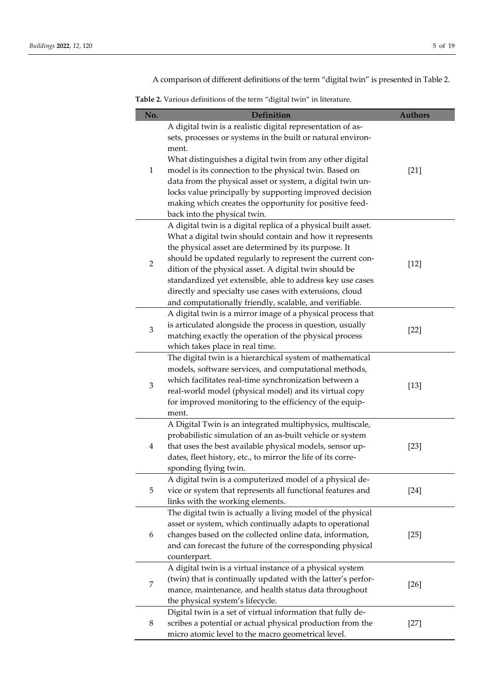A comparison of different definitions of the term "digital twin" is presented in Table 2.

**Table 2.** Various definitions of the term "digital twin" in literature.

| No.            | <b>Definition</b>                                              | <b>Authors</b> |
|----------------|----------------------------------------------------------------|----------------|
|                | A digital twin is a realistic digital representation of as-    |                |
|                | sets, processes or systems in the built or natural environ-    |                |
|                | ment.                                                          |                |
|                | What distinguishes a digital twin from any other digital       |                |
| $\mathbf{1}$   | model is its connection to the physical twin. Based on         | $[21]$         |
|                | data from the physical asset or system, a digital twin un-     |                |
|                | locks value principally by supporting improved decision        |                |
|                | making which creates the opportunity for positive feed-        |                |
|                | back into the physical twin.                                   |                |
|                | A digital twin is a digital replica of a physical built asset. |                |
|                | What a digital twin should contain and how it represents       |                |
|                | the physical asset are determined by its purpose. It           |                |
| $\overline{2}$ | should be updated regularly to represent the current con-      | $[12]$         |
|                | dition of the physical asset. A digital twin should be         |                |
|                | standardized yet extensible, able to address key use cases     |                |
|                | directly and specialty use cases with extensions, cloud        |                |
|                | and computationally friendly, scalable, and verifiable.        |                |
|                | A digital twin is a mirror image of a physical process that    |                |
| 3              | is articulated alongside the process in question, usually      | $[22]$         |
|                | matching exactly the operation of the physical process         |                |
|                | which takes place in real time.                                |                |
|                | The digital twin is a hierarchical system of mathematical      |                |
|                | models, software services, and computational methods,          |                |
| 3              | which facilitates real-time synchronization between a          | $[13]$         |
|                | real-world model (physical model) and its virtual copy         |                |
|                | for improved monitoring to the efficiency of the equip-        |                |
|                | ment.                                                          |                |
|                | A Digital Twin is an integrated multiphysics, multiscale,      |                |
|                | probabilistic simulation of an as-built vehicle or system      |                |
| 4              | that uses the best available physical models, sensor up-       | $[23]$         |
|                | dates, fleet history, etc., to mirror the life of its corre-   |                |
|                | sponding flying twin.                                          |                |
|                | A digital twin is a computerized model of a physical de-       |                |
| 5              | vice or system that represents all functional features and     | $[24]$         |
|                | links with the working elements.                               |                |
| 6              | The digital twin is actually a living model of the physical    |                |
|                | asset or system, which continually adapts to operational       |                |
|                | changes based on the collected online data, information,       | $[25]$         |
|                | and can forecast the future of the corresponding physical      |                |
|                | counterpart.                                                   |                |
| 7              | A digital twin is a virtual instance of a physical system      |                |
|                | (twin) that is continually updated with the latter's perfor-   | $[26]$         |
|                | mance, maintenance, and health status data throughout          |                |
|                | the physical system's lifecycle.                               |                |
| 8              | Digital twin is a set of virtual information that fully de-    |                |
|                | scribes a potential or actual physical production from the     | $[27]$         |
|                | micro atomic level to the macro geometrical level.             |                |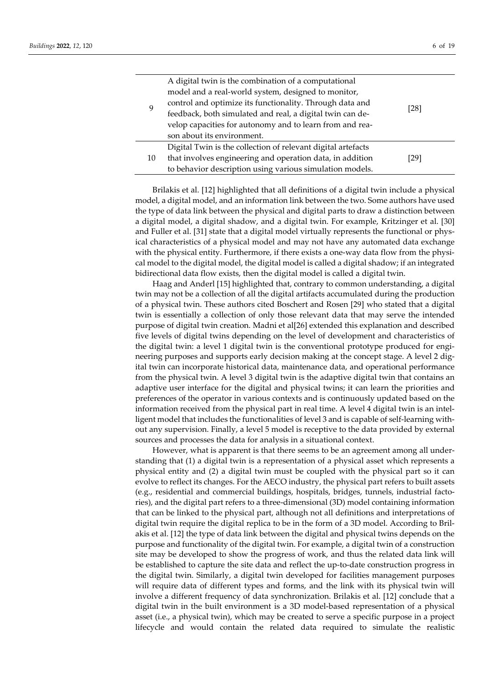9

| A digital twin is the combination of a computational      |      |
|-----------------------------------------------------------|------|
| model and a real-world system, designed to monitor,       |      |
| control and optimize its functionality. Through data and  |      |
| feedback, both simulated and real, a digital twin can de- | [28] |
| velop capacities for autonomy and to learn from and rea-  |      |
| son about its environment.                                |      |

|    | Digital Twin is the collection of relevant digital artefacts |      |
|----|--------------------------------------------------------------|------|
| 10 | that involves engineering and operation data, in addition    | [29] |
|    | to behavior description using various simulation models.     |      |

Brilakis et al. [12] highlighted that all definitions of a digital twin include a physical model, a digital model, and an information link between the two. Some authors have used the type of data link between the physical and digital parts to draw a distinction between a digital model, a digital shadow, and a digital twin. For example, Kritzinger et al. [30] and Fuller et al. [31] state that a digital model virtually represents the functional or physical characteristics of a physical model and may not have any automated data exchange with the physical entity. Furthermore, if there exists a one-way data flow from the physical model to the digital model, the digital model is called a digital shadow; if an integrated bidirectional data flow exists, then the digital model is called a digital twin.

Haag and Anderl [15] highlighted that, contrary to common understanding, a digital twin may not be a collection of all the digital artifacts accumulated during the production of a physical twin. These authors cited Boschert and Rosen [29] who stated that a digital twin is essentially a collection of only those relevant data that may serve the intended purpose of digital twin creation. Madni et al[26] extended this explanation and described five levels of digital twins depending on the level of development and characteristics of the digital twin: a level 1 digital twin is the conventional prototype produced for engineering purposes and supports early decision making at the concept stage. A level 2 digital twin can incorporate historical data, maintenance data, and operational performance from the physical twin. A level 3 digital twin is the adaptive digital twin that contains an adaptive user interface for the digital and physical twins; it can learn the priorities and preferences of the operator in various contexts and is continuously updated based on the information received from the physical part in real time. A level 4 digital twin is an intelligent model that includes the functionalities of level 3 and is capable of self-learning without any supervision. Finally, a level 5 model is receptive to the data provided by external sources and processes the data for analysis in a situational context.

However, what is apparent is that there seems to be an agreement among all understanding that (1) a digital twin is a representation of a physical asset which represents a physical entity and (2) a digital twin must be coupled with the physical part so it can evolve to reflect its changes. For the AECO industry, the physical part refers to built assets (e.g., residential and commercial buildings, hospitals, bridges, tunnels, industrial factories), and the digital part refers to a three-dimensional (3D) model containing information that can be linked to the physical part, although not all definitions and interpretations of digital twin require the digital replica to be in the form of a 3D model. According to Brilakis et al. [12] the type of data link between the digital and physical twins depends on the purpose and functionality of the digital twin. For example, a digital twin of a construction site may be developed to show the progress of work, and thus the related data link will be established to capture the site data and reflect the up-to-date construction progress in the digital twin. Similarly, a digital twin developed for facilities management purposes will require data of different types and forms, and the link with its physical twin will involve a different frequency of data synchronization. Brilakis et al. [12] conclude that a digital twin in the built environment is a 3D model-based representation of a physical asset (i.e., a physical twin), which may be created to serve a specific purpose in a project lifecycle and would contain the related data required to simulate the realistic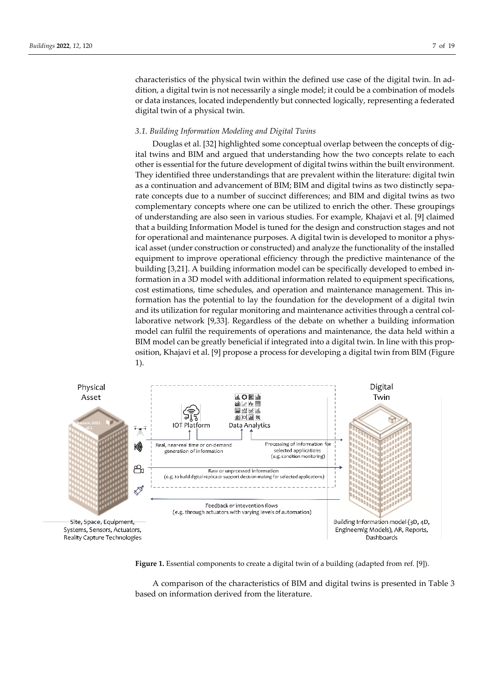characteristics of the physical twin within the defined use case of the digital twin. In addition, a digital twin is not necessarily a single model; it could be a combination of models or data instances, located independently but connected logically, representing a federated digital twin of a physical twin.

# *3.1. Building Information Modeling and Digital Twins*

Douglas et al. [32] highlighted some conceptual overlap between the concepts of digital twins and BIM and argued that understanding how the two concepts relate to each other is essential for the future development of digital twins within the built environment. They identified three understandings that are prevalent within the literature: digital twin as a continuation and advancement of BIM; BIM and digital twins as two distinctly separate concepts due to a number of succinct differences; and BIM and digital twins as two complementary concepts where one can be utilized to enrich the other. These groupings of understanding are also seen in various studies. For example, Khajavi et al. [9] claimed that a building Information Model is tuned for the design and construction stages and not for operational and maintenance purposes. A digital twin is developed to monitor a physical asset (under construction or constructed) and analyze the functionality of the installed equipment to improve operational efficiency through the predictive maintenance of the building [3,21]. A building information model can be specifically developed to embed information in a 3D model with additional information related to equipment specifications, cost estimations, time schedules, and operation and maintenance management. This information has the potential to lay the foundation for the development of a digital twin and its utilization for regular monitoring and maintenance activities through a central collaborative network [9,33]. Regardless of the debate on whether a building information model can fulfil the requirements of operations and maintenance, the data held within a BIM model can be greatly beneficial if integrated into a digital twin. In line with this proposition, Khajavi et al. [9] propose a process for developing a digital twin from BIM (Figure 1).



**Figure 1.** Essential components to create a digital twin of a building (adapted from ref. [9]).

A comparison of the characteristics of BIM and digital twins is presented in Table 3 based on information derived from the literature.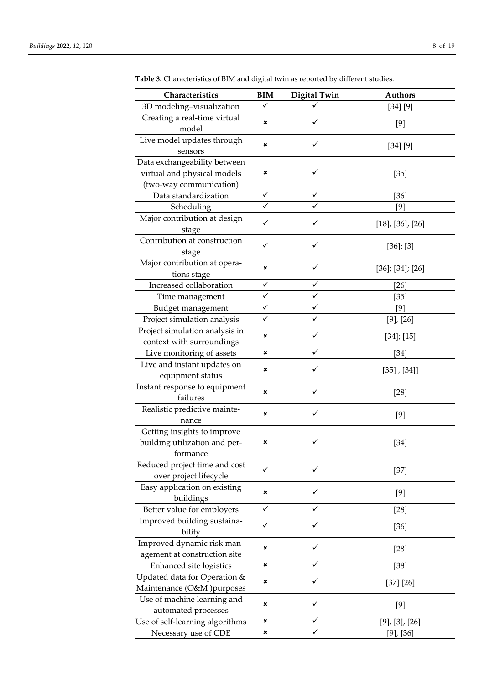| Characteristics                                             | <b>BIM</b> | Digital Twin | <b>Authors</b>           |
|-------------------------------------------------------------|------------|--------------|--------------------------|
| 3D modeling-visualization                                   | ✓          | ✓            | [34] [9]                 |
| Creating a real-time virtual                                |            |              |                          |
| model                                                       | ×          | ✓            | $[9]$                    |
| Live model updates through                                  |            | ✓            |                          |
| sensors                                                     | ×          |              | [34] [9]                 |
| Data exchangeability between                                |            |              |                          |
| virtual and physical models                                 | ×          | ✓            | $[35]$                   |
| (two-way communication)                                     |            |              |                          |
| Data standardization                                        | ✓          | ✓            | [36]                     |
| Scheduling                                                  |            |              | [9]                      |
| Major contribution at design                                | ✓          | ✓            | $[18]$ ; $[36]$ ; $[26]$ |
| stage                                                       |            |              |                          |
| Contribution at construction                                | ✓          | ✓            | $[36]$ ; $[3]$           |
| stage                                                       |            |              |                          |
| Major contribution at opera-                                | ×          | ✓            | $[36]$ ; $[34]$ ; $[26]$ |
| tions stage                                                 |            |              |                          |
| Increased collaboration                                     | ✓          | ✓            | [26]                     |
| Time management                                             | ✓<br>✓     | ✓<br>✓       | $[35]$                   |
| Budget management                                           | ✓          | ✓            | $[9]$                    |
| Project simulation analysis                                 |            |              | $[9]$ , $[26]$           |
| Project simulation analysis in<br>context with surroundings | ×          | ✓            | $[34]$ ; [15]            |
| Live monitoring of assets                                   | ×          | ✓            | [34]                     |
| Live and instant updates on                                 |            |              |                          |
| equipment status                                            | ×          | ✓            | $[35]$ , $[34]$ ]        |
| Instant response to equipment                               |            |              |                          |
| failures                                                    | ×          | ✓            | $[28]$                   |
| Realistic predictive mainte-                                |            |              |                          |
| nance                                                       | ×          | ✓            | $[9]$                    |
| Getting insights to improve                                 |            |              |                          |
| building utilization and per-                               | ×          | ✓            | $[34]$                   |
| formance                                                    |            |              |                          |
| Reduced project time and cost                               |            | ✓            | $[37]$                   |
| over project lifecycle                                      |            |              |                          |
| Easy application on existing                                | ×          | ✓            | [9]                      |
| buildings                                                   |            |              |                          |
| Better value for employers                                  | ✓          |              | $[28]$                   |
| Improved building sustaina-                                 | ✓          | ✓            | $[36]$                   |
| bility                                                      |            |              |                          |
| Improved dynamic risk man-                                  | ×          | ✓            | $[28]$                   |
| agement at construction site                                |            |              |                          |
| Enhanced site logistics                                     | ×          | ✓            | $[38]$                   |
| Updated data for Operation &                                | ×          | ✓            | [37] [26]                |
| Maintenance (O&M) purposes                                  |            |              |                          |
| Use of machine learning and                                 | ×          | ✓            | [9]                      |
| automated processes                                         | ×          | ✓            |                          |
| Use of self-learning algorithms                             | ×          | ✓            | $[9]$ , $[3]$ , $[26]$   |
| Necessary use of CDE                                        |            |              | [9], [36]                |

**Table 3.** Characteristics of BIM and digital twin as reported by different studies.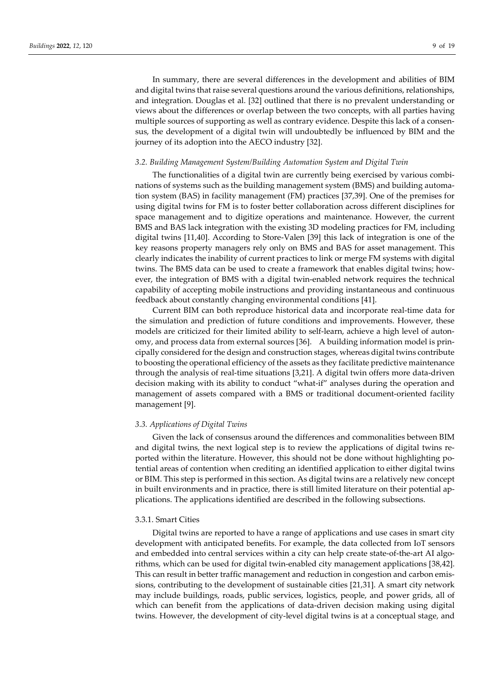In summary, there are several differences in the development and abilities of BIM and digital twins that raise several questions around the various definitions, relationships, and integration. Douglas et al. [32] outlined that there is no prevalent understanding or views about the differences or overlap between the two concepts, with all parties having multiple sources of supporting as well as contrary evidence. Despite this lack of a consensus, the development of a digital twin will undoubtedly be influenced by BIM and the journey of its adoption into the AECO industry [32].

#### *3.2. Building Management System/Building Automation System and Digital Twin*

The functionalities of a digital twin are currently being exercised by various combinations of systems such as the building management system (BMS) and building automation system (BAS) in facility management (FM) practices [37,39]. One of the premises for using digital twins for FM is to foster better collaboration across different disciplines for space management and to digitize operations and maintenance. However, the current BMS and BAS lack integration with the existing 3D modeling practices for FM, including digital twins [11,40]. According to Store-Valen [39] this lack of integration is one of the key reasons property managers rely only on BMS and BAS for asset management. This clearly indicates the inability of current practices to link or merge FM systems with digital twins. The BMS data can be used to create a framework that enables digital twins; however, the integration of BMS with a digital twin-enabled network requires the technical capability of accepting mobile instructions and providing instantaneous and continuous feedback about constantly changing environmental conditions [41].

Current BIM can both reproduce historical data and incorporate real-time data for the simulation and prediction of future conditions and improvements. However, these models are criticized for their limited ability to self-learn, achieve a high level of autonomy, and process data from external sources [36]. A building information model is principally considered forthe design and construction stages, whereas digital twins contribute to boosting the operational efficiency of the assets as they facilitate predictive maintenance through the analysis of real-time situations [3,21]. A digital twin offers more data-driven decision making with its ability to conduct "what-if" analyses during the operation and management of assets compared with a BMS or traditional document-oriented facility management [9].

## *3.3. Applications of Digital Twins*

Given the lack of consensus around the differences and commonalities between BIM and digital twins, the next logical step is to review the applications of digital twins reported within the literature. However, this should not be done without highlighting potential areas of contention when crediting an identified application to either digital twins or BIM. This step is performed in this section. As digital twins are a relatively new concept in built environments and in practice, there is still limited literature on their potential applications. The applications identified are described in the following subsections.

# 3.3.1. Smart Cities

Digital twins are reported to have a range of applications and use cases in smart city development with anticipated benefits. For example, the data collected from IoT sensors and embedded into central services within a city can help create state-of-the-art AI algorithms, which can be used for digital twin-enabled city management applications [38,42]. This can result in better traffic management and reduction in congestion and carbon emissions, contributing to the development of sustainable cities [21,31]. A smart city network may include buildings, roads, public services, logistics, people, and power grids, all of which can benefit from the applications of data-driven decision making using digital twins. However, the development of city-level digital twins is at a conceptual stage, and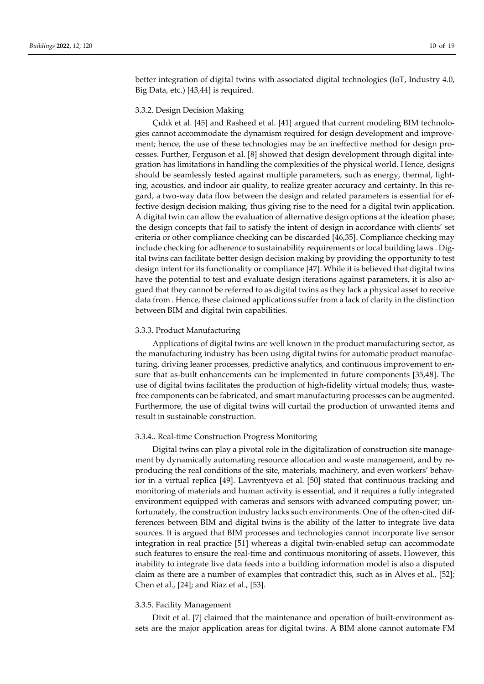better integration of digital twins with associated digital technologies (IoT, Industry 4.0, Big Data, etc.) [43,44] is required.

## 3.3.2. Design Decision Making

Çıdık et al. [45] and Rasheed et al. [41] argued that current modeling BIM technologies cannot accommodate the dynamism required for design development and improvement; hence, the use of these technologies may be an ineffective method for design processes. Further, Ferguson et al. [8] showed that design development through digital integration has limitations in handling the complexities of the physical world. Hence, designs should be seamlessly tested against multiple parameters, such as energy, thermal, lighting, acoustics, and indoor air quality, to realize greater accuracy and certainty. In this regard, a two-way data flow between the design and related parameters is essential for effective design decision making, thus giving rise to the need for a digital twin application. A digital twin can allow the evaluation of alternative design options at the ideation phase; the design concepts that fail to satisfy the intent of design in accordance with clients' set criteria or other compliance checking can be discarded [46,35]. Compliance checking may include checking for adherence to sustainability requirements or local building laws . Digital twins can facilitate better design decision making by providing the opportunity to test design intent for its functionality or compliance [47]. While it is believed that digital twins have the potential to test and evaluate design iterations against parameters, it is also argued that they cannot be referred to as digital twins as they lack a physical asset to receive data from . Hence, these claimed applications suffer from a lack of clarity in the distinction between BIM and digital twin capabilities.

#### 3.3.3. Product Manufacturing

Applications of digital twins are well known in the product manufacturing sector, as the manufacturing industry has been using digital twins for automatic product manufacturing, driving leaner processes, predictive analytics, and continuous improvement to ensure that as-built enhancements can be implemented in future components [35,48]. The use of digital twins facilitates the production of high-fidelity virtual models; thus, wastefree components can be fabricated, and smart manufacturing processes can be augmented. Furthermore, the use of digital twins will curtail the production of unwanted items and result in sustainable construction.

#### 3.3.4.. Real-time Construction Progress Monitoring

Digital twins can play a pivotal role in the digitalization of construction site management by dynamically automating resource allocation and waste management, and by reproducing the real conditions of the site, materials, machinery, and even workers' behavior in a virtual replica [49]. Lavrentyeva et al. [50] stated that continuous tracking and monitoring of materials and human activity is essential, and it requires a fully integrated environment equipped with cameras and sensors with advanced computing power; unfortunately, the construction industry lacks such environments. One of the often-cited differences between BIM and digital twins is the ability of the latter to integrate live data sources. It is argued that BIM processes and technologies cannot incorporate live sensor integration in real practice [51] whereas a digital twin-enabled setup can accommodate such features to ensure the real-time and continuous monitoring of assets. However, this inability to integrate live data feeds into a building information model is also a disputed claim as there are a number of examples that contradict this, such as in Alves et al., [52]; Chen et al., [24]; and Riaz et al., [53].

## 3.3.5. Facility Management

Dixit et al. [7] claimed that the maintenance and operation of built-environment assets are the major application areas for digital twins. A BIM alone cannot automate FM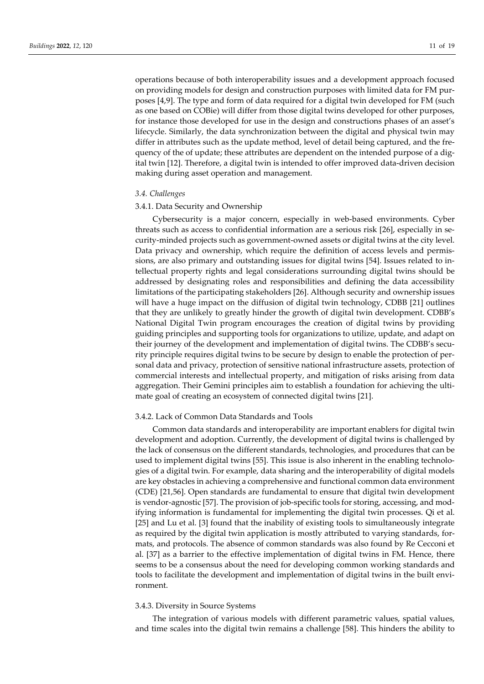operations because of both interoperability issues and a development approach focused on providing models for design and construction purposes with limited data for FM purposes [4,9]. The type and form of data required for a digital twin developed for FM (such as one based on COBie) will differ from those digital twins developed for other purposes, for instance those developed for use in the design and constructions phases of an asset's lifecycle. Similarly, the data synchronization between the digital and physical twin may differ in attributes such as the update method, level of detail being captured, and the frequency of the of update; these attributes are dependent on the intended purpose of a digital twin [12]. Therefore, a digital twin is intended to offer improved data-driven decision making during asset operation and management.

## *3.4. Challenges*

#### 3.4.1. Data Security and Ownership

Cybersecurity is a major concern, especially in web-based environments. Cyber threats such as access to confidential information are a serious risk [26], especially in security-minded projects such as government-owned assets or digital twins at the city level. Data privacy and ownership, which require the definition of access levels and permissions, are also primary and outstanding issues for digital twins [54]. Issues related to intellectual property rights and legal considerations surrounding digital twins should be addressed by designating roles and responsibilities and defining the data accessibility limitations of the participating stakeholders [26]. Although security and ownership issues will have a huge impact on the diffusion of digital twin technology, CDBB [21] outlines that they are unlikely to greatly hinder the growth of digital twin development. CDBB's National Digital Twin program encourages the creation of digital twins by providing guiding principles and supporting tools for organizations to utilize, update, and adapt on their journey of the development and implementation of digital twins. The CDBB's security principle requires digital twins to be secure by design to enable the protection of personal data and privacy, protection of sensitive national infrastructure assets, protection of commercial interests and intellectual property, and mitigation of risks arising from data aggregation. Their Gemini principles aim to establish a foundation for achieving the ultimate goal of creating an ecosystem of connected digital twins [21].

## 3.4.2. Lack of Common Data Standards and Tools

Common data standards and interoperability are important enablers for digital twin development and adoption. Currently, the development of digital twins is challenged by the lack of consensus on the different standards, technologies, and procedures that can be used to implement digital twins [55]. This issue is also inherent in the enabling technologies of a digital twin. For example, data sharing and the interoperability of digital models are key obstacles in achieving a comprehensive and functional common data environment (CDE) [21,56]. Open standards are fundamental to ensure that digital twin development is vendor-agnostic [57]. The provision of job-specific tools for storing, accessing, and modifying information is fundamental for implementing the digital twin processes. Qi et al. [25] and Lu et al. [3] found that the inability of existing tools to simultaneously integrate as required by the digital twin application is mostly attributed to varying standards, formats, and protocols. The absence of common standards was also found by Re Cecconi et al. [37] as a barrier to the effective implementation of digital twins in FM. Hence, there seems to be a consensus about the need for developing common working standards and tools to facilitate the development and implementation of digital twins in the built environment.

#### 3.4.3. Diversity in Source Systems

The integration of various models with different parametric values, spatial values, and time scales into the digital twin remains a challenge [58]. This hinders the ability to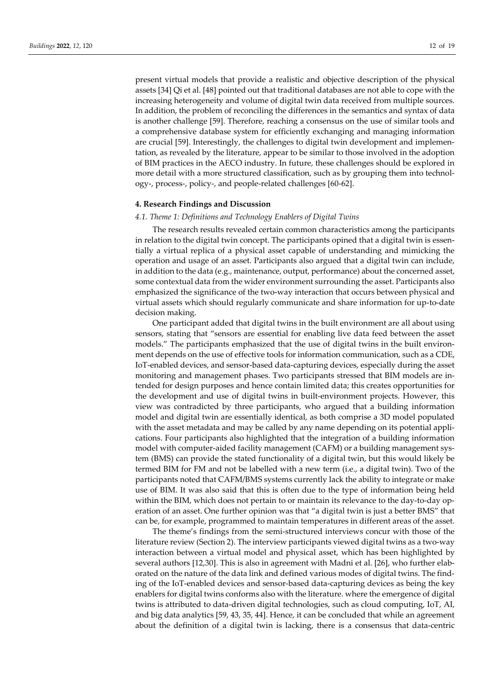present virtual models that provide a realistic and objective description of the physical assets [34] Qi et al. [48] pointed out that traditional databases are not able to cope with the increasing heterogeneity and volume of digital twin data received from multiple sources. In addition, the problem of reconciling the differences in the semantics and syntax of data is another challenge [59]. Therefore, reaching a consensus on the use of similar tools and a comprehensive database system for efficiently exchanging and managing information are crucial [59]. Interestingly, the challenges to digital twin development and implementation, as revealed by the literature, appear to be similar to those involved in the adoption of BIM practices in the AECO industry. In future, these challenges should be explored in more detail with a more structured classification, such as by grouping them into technology-, process-, policy-, and people-related challenges [60-62].

## **4. Research Findings and Discussion**

## *4.1. Theme 1: Definitions and Technology Enablers of Digital Twins*

The research results revealed certain common characteristics among the participants in relation to the digital twin concept. The participants opined that a digital twin is essentially a virtual replica of a physical asset capable of understanding and mimicking the operation and usage of an asset. Participants also argued that a digital twin can include, in addition to the data (e.g., maintenance, output, performance) about the concerned asset, some contextual data from the wider environment surrounding the asset. Participants also emphasized the significance of the two-way interaction that occurs between physical and virtual assets which should regularly communicate and share information for up-to-date decision making.

One participant added that digital twins in the built environment are all about using sensors, stating that "sensors are essential for enabling live data feed between the asset models." The participants emphasized that the use of digital twins in the built environment depends on the use of effective tools for information communication, such as a CDE, IoT-enabled devices, and sensor-based data-capturing devices, especially during the asset monitoring and management phases. Two participants stressed that BIM models are intended for design purposes and hence contain limited data; this creates opportunities for the development and use of digital twins in built-environment projects. However, this view was contradicted by three participants, who argued that a building information model and digital twin are essentially identical, as both comprise a 3D model populated with the asset metadata and may be called by any name depending on its potential applications. Four participants also highlighted that the integration of a building information model with computer-aided facility management (CAFM) or a building management system (BMS) can provide the stated functionality of a digital twin, but this would likely be termed BIM for FM and not be labelled with a new term (i.e., a digital twin). Two of the participants noted that CAFM/BMS systems currently lack the ability to integrate or make use of BIM. It was also said that this is often due to the type of information being held within the BIM, which does not pertain to or maintain its relevance to the day-to-day operation of an asset. One further opinion was that "a digital twin is just a better BMS" that can be, for example, programmed to maintain temperatures in different areas of the asset.

The theme's findings from the semi-structured interviews concur with those of the literature review (Section 2). The interview participants viewed digital twins as a two-way interaction between a virtual model and physical asset, which has been highlighted by several authors [12,30]. This is also in agreement with Madni et al. [26], who further elaborated on the nature of the data link and defined various modes of digital twins. The finding of the IoT-enabled devices and sensor-based data-capturing devices as being the key enablers for digital twins conforms also with the literature. where the emergence of digital twins is attributed to data-driven digital technologies, such as cloud computing, IoT, AI, and big data analytics [59, 43, 35, 44]. Hence, it can be concluded that while an agreement about the definition of a digital twin is lacking, there is a consensus that data-centric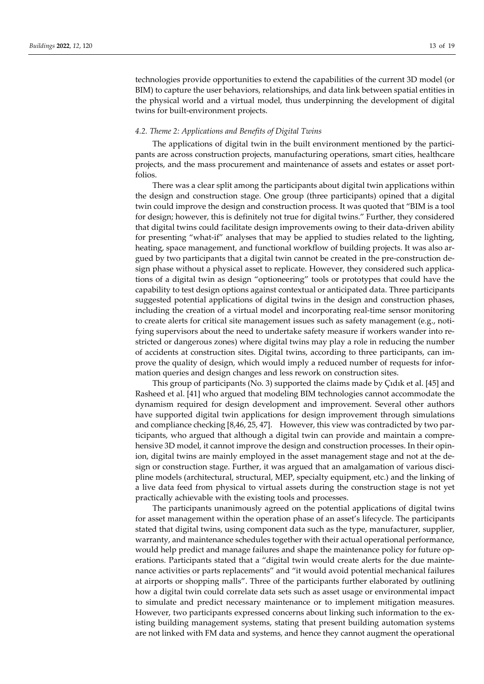technologies provide opportunities to extend the capabilities of the current 3D model (or BIM) to capture the user behaviors, relationships, and data link between spatial entities in the physical world and a virtual model, thus underpinning the development of digital twins for built-environment projects.

## *4.2. Theme 2: Applications and Benefits of Digital Twins*

The applications of digital twin in the built environment mentioned by the participants are across construction projects, manufacturing operations, smart cities, healthcare projects, and the mass procurement and maintenance of assets and estates or asset portfolios.

There was a clear split among the participants about digital twin applications within the design and construction stage. One group (three participants) opined that a digital twin could improve the design and construction process. It was quoted that "BIM is a tool for design; however, this is definitely not true for digital twins." Further, they considered that digital twins could facilitate design improvements owing to their data-driven ability for presenting "what-if" analyses that may be applied to studies related to the lighting, heating, space management, and functional workflow of building projects. It was also argued by two participants that a digital twin cannot be created in the pre-construction design phase without a physical asset to replicate. However, they considered such applications of a digital twin as design "optioneering" tools or prototypes that could have the capability to test design options against contextual or anticipated data. Three participants suggested potential applications of digital twins in the design and construction phases, including the creation of a virtual model and incorporating real-time sensor monitoring to create alerts for critical site management issues such as safety management (e.g., notifying supervisors about the need to undertake safety measure if workers wander into restricted or dangerous zones) where digital twins may play a role in reducing the number of accidents at construction sites. Digital twins, according to three participants, can improve the quality of design, which would imply a reduced number of requests for information queries and design changes and less rework on construction sites.

This group of participants (No. 3) supported the claims made by Çıdık et al. [45] and Rasheed et al. [41] who argued that modeling BIM technologies cannot accommodate the dynamism required for design development and improvement. Several other authors have supported digital twin applications for design improvement through simulations and compliance checking [8,46, 25, 47]. However, this view was contradicted by two participants, who argued that although a digital twin can provide and maintain a comprehensive 3D model, it cannot improve the design and construction processes. In their opinion, digital twins are mainly employed in the asset management stage and not at the design or construction stage. Further, it was argued that an amalgamation of various discipline models (architectural, structural, MEP, specialty equipment, etc.) and the linking of a live data feed from physical to virtual assets during the construction stage is not yet practically achievable with the existing tools and processes.

The participants unanimously agreed on the potential applications of digital twins for asset management within the operation phase of an asset's lifecycle. The participants stated that digital twins, using component data such as the type, manufacturer, supplier, warranty, and maintenance schedules together with their actual operational performance, would help predict and manage failures and shape the maintenance policy for future operations. Participants stated that a "digital twin would create alerts for the due maintenance activities or parts replacements" and "it would avoid potential mechanical failures at airports or shopping malls". Three of the participants further elaborated by outlining how a digital twin could correlate data sets such as asset usage or environmental impact to simulate and predict necessary maintenance or to implement mitigation measures. However, two participants expressed concerns about linking such information to the existing building management systems, stating that present building automation systems are not linked with FM data and systems, and hence they cannot augment the operational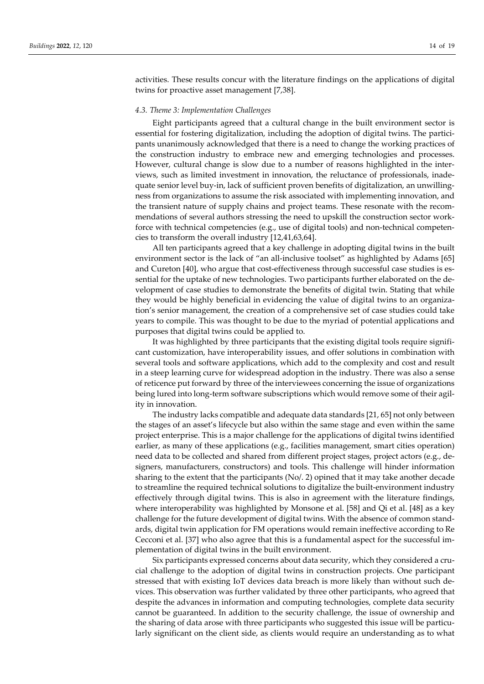activities. These results concur with the literature findings on the applications of digital twins for proactive asset management [7,38].

## *4.3. Theme 3: Implementation Challenges*

Eight participants agreed that a cultural change in the built environment sector is essential for fostering digitalization, including the adoption of digital twins. The participants unanimously acknowledged that there is a need to change the working practices of the construction industry to embrace new and emerging technologies and processes. However, cultural change is slow due to a number of reasons highlighted in the interviews, such as limited investment in innovation, the reluctance of professionals, inadequate senior level buy-in, lack of sufficient proven benefits of digitalization, an unwillingness from organizations to assume the risk associated with implementing innovation, and the transient nature of supply chains and project teams. These resonate with the recommendations of several authors stressing the need to upskill the construction sector workforce with technical competencies (e.g., use of digital tools) and non-technical competencies to transform the overall industry [12,41,63,64].

All ten participants agreed that a key challenge in adopting digital twins in the built environment sector is the lack of "an all-inclusive toolset" as highlighted by Adams [65] and Cureton [40], who argue that cost-effectiveness through successful case studies is essential for the uptake of new technologies. Two participants further elaborated on the development of case studies to demonstrate the benefits of digital twin. Stating that while they would be highly beneficial in evidencing the value of digital twins to an organization's senior management, the creation of a comprehensive set of case studies could take years to compile. This was thought to be due to the myriad of potential applications and purposes that digital twins could be applied to.

It was highlighted by three participants that the existing digital tools require significant customization, have interoperability issues, and offer solutions in combination with several tools and software applications, which add to the complexity and cost and result in a steep learning curve for widespread adoption in the industry. There was also a sense of reticence put forward by three of the interviewees concerning the issue of organizations being lured into long-term software subscriptions which would remove some of their agility in innovation.

The industry lacks compatible and adequate data standards [21, 65] not only between the stages of an asset's lifecycle but also within the same stage and even within the same project enterprise. This is a major challenge for the applications of digital twins identified earlier, as many of these applications (e.g., facilities management, smart cities operation) need data to be collected and shared from different project stages, project actors (e.g., designers, manufacturers, constructors) and tools. This challenge will hinder information sharing to the extent that the participants  $(No/2)$  opined that it may take another decade to streamline the required technical solutions to digitalize the built-environment industry effectively through digital twins. This is also in agreement with the literature findings, where interoperability was highlighted by Monsone et al. [58] and Qi et al. [48] as a key challenge for the future development of digital twins. With the absence of common standards, digital twin application for FM operations would remain ineffective according to Re Cecconi et al. [37] who also agree that this is a fundamental aspect for the successful implementation of digital twins in the built environment.

Six participants expressed concerns about data security, which they considered a crucial challenge to the adoption of digital twins in construction projects. One participant stressed that with existing IoT devices data breach is more likely than without such devices. This observation was further validated by three other participants, who agreed that despite the advances in information and computing technologies, complete data security cannot be guaranteed. In addition to the security challenge, the issue of ownership and the sharing of data arose with three participants who suggested this issue will be particularly significant on the client side, as clients would require an understanding as to what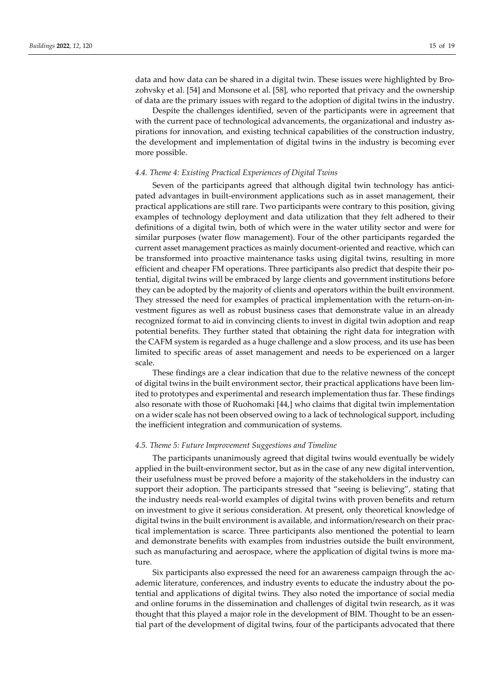data and how data can be shared in a digital twin. These issues were highlighted by Brozohvsky et al. [54] and Monsone et al. [58], who reported that privacy and the ownership of data are the primary issues with regard to the adoption of digital twins in the industry.

Despite the challenges identified, seven of the participants were in agreement that with the current pace of technological advancements, the organizational and industry aspirations for innovation, and existing technical capabilities of the construction industry, the development and implementation of digital twins in the industry is becoming ever more possible.

## *4.4. Theme 4: Existing Practical Experiences of Digital Twins*

Seven of the participants agreed that although digital twin technology has anticipated advantages in built-environment applications such as in asset management, their practical applications are still rare. Two participants were contrary to this position, giving examples of technology deployment and data utilization that they felt adhered to their definitions of a digital twin, both of which were in the water utility sector and were for similar purposes (water flow management). Four of the other participants regarded the current asset management practices as mainly document-oriented and reactive, which can be transformed into proactive maintenance tasks using digital twins, resulting in more efficient and cheaper FM operations. Three participants also predict that despite their potential, digital twins will be embraced by large clients and government institutions before they can be adopted by the majority of clients and operators within the built environment. They stressed the need for examples of practical implementation with the return-on-investment figures as well as robust business cases that demonstrate value in an already recognized format to aid in convincing clients to invest in digital twin adoption and reap potential benefits. They further stated that obtaining the right data for integration with the CAFM system is regarded as a huge challenge and a slow process, and its use has been limited to specific areas of asset management and needs to be experienced on a larger scale.

These findings are a clear indication that due to the relative newness of the concept of digital twins in the built environment sector, their practical applications have been limited to prototypes and experimental and research implementation thus far. These findings also resonate with those of Ruohomaki [44,] who claims that digital twin implementation on a wider scale has not been observed owing to a lack of technological support, including the inefficient integration and communication of systems.

# *4.5. Theme 5: Future Improvement Suggestions and Timeline*

The participants unanimously agreed that digital twins would eventually be widely applied in the built-environment sector, but as in the case of any new digital intervention, their usefulness must be proved before a majority of the stakeholders in the industry can support their adoption. The participants stressed that "seeing is believing", stating that the industry needs real-world examples of digital twins with proven benefits and return on investment to give it serious consideration. At present, only theoretical knowledge of digital twins in the built environment is available, and information/research on their practical implementation is scarce. Three participants also mentioned the potential to learn and demonstrate benefits with examples from industries outside the built environment, such as manufacturing and aerospace, where the application of digital twins is more mature.

Six participants also expressed the need for an awareness campaign through the academic literature, conferences, and industry events to educate the industry about the potential and applications of digital twins. They also noted the importance of social media and online forums in the dissemination and challenges of digital twin research, as it was thought that this played a major role in the development of BIM. Thought to be an essential part of the development of digital twins, four of the participants advocated that there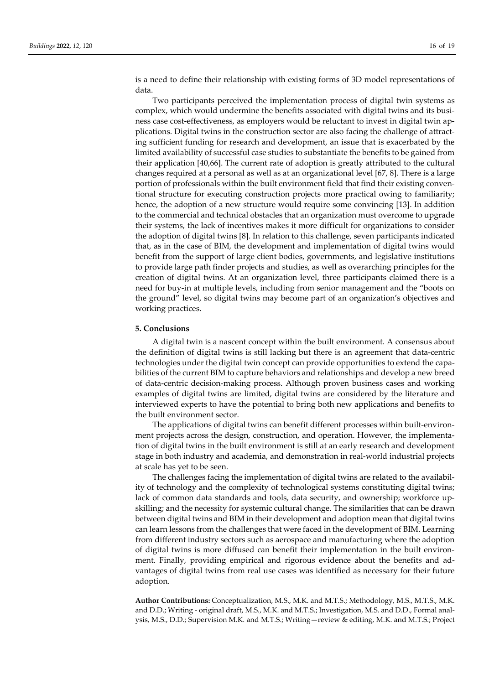is a need to define their relationship with existing forms of 3D model representations of data.

Two participants perceived the implementation process of digital twin systems as complex, which would undermine the benefits associated with digital twins and its business case cost-effectiveness, as employers would be reluctant to invest in digital twin applications. Digital twins in the construction sector are also facing the challenge of attracting sufficient funding for research and development, an issue that is exacerbated by the limited availability of successful case studies to substantiate the benefits to be gained from their application [40,66]. The current rate of adoption is greatly attributed to the cultural changes required at a personal as well as at an organizational level [67, 8]. There is a large portion of professionals within the built environment field that find their existing conventional structure for executing construction projects more practical owing to familiarity; hence, the adoption of a new structure would require some convincing [13]. In addition to the commercial and technical obstacles that an organization must overcome to upgrade their systems, the lack of incentives makes it more difficult for organizations to consider the adoption of digital twins [8]. In relation to this challenge, seven participants indicated that, as in the case of BIM, the development and implementation of digital twins would benefit from the support of large client bodies, governments, and legislative institutions to provide large path finder projects and studies, as well as overarching principles for the creation of digital twins. At an organization level, three participants claimed there is a need for buy-in at multiple levels, including from senior management and the "boots on the ground" level, so digital twins may become part of an organization's objectives and working practices.

## **5. Conclusions**

A digital twin is a nascent concept within the built environment. A consensus about the definition of digital twins is still lacking but there is an agreement that data-centric technologies under the digital twin concept can provide opportunities to extend the capabilities of the current BIM to capture behaviors and relationships and develop a new breed of data-centric decision-making process. Although proven business cases and working examples of digital twins are limited, digital twins are considered by the literature and interviewed experts to have the potential to bring both new applications and benefits to the built environment sector.

The applications of digital twins can benefit different processes within built-environment projects across the design, construction, and operation. However, the implementation of digital twins in the built environment is still at an early research and development stage in both industry and academia, and demonstration in real-world industrial projects at scale has yet to be seen.

The challenges facing the implementation of digital twins are related to the availability of technology and the complexity of technological systems constituting digital twins; lack of common data standards and tools, data security, and ownership; workforce upskilling; and the necessity for systemic cultural change. The similarities that can be drawn between digital twins and BIM in their development and adoption mean that digital twins can learn lessons from the challenges that were faced in the development of BIM. Learning from different industry sectors such as aerospace and manufacturing where the adoption of digital twins is more diffused can benefit their implementation in the built environment. Finally, providing empirical and rigorous evidence about the benefits and advantages of digital twins from real use cases was identified as necessary for their future adoption.

**Author Contributions:** Conceptualization, M.S., M.K. and M.T.S.; Methodology, M.S., M.T.S., M.K. and D.D.; Writing - original draft, M.S., M.K. and M.T.S.; Investigation, M.S. and D.D., Formal analysis, M.S., D.D.; Supervision M.K. and M.T.S.; Writing—review & editing, M.K. and M.T.S.; Project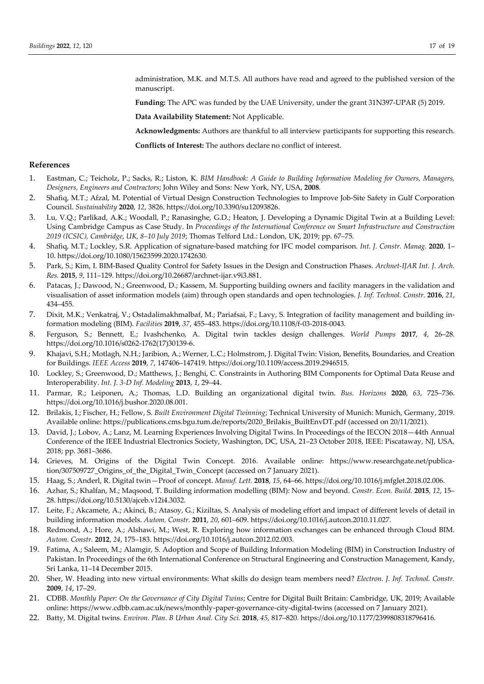administration, M.K. and M.T.S. All authors have read and agreed to the published version of the manuscript.

**Funding:** The APC was funded by the UAE University, under the grant 31N397-UPAR (5) 2019.

**Data Availability Statement:** Not Applicable.

**Acknowledgments:** Authors are thankful to all interview participants for supporting this research.

**Conflicts of Interest:** The authors declare no conflict of interest.

# **References**

- 1. Eastman, C.; Teicholz, P.; Sacks, R.; Liston, K. *BIM Handbook: A Guide to Building Information Modeling for Owners, Managers, Designers, Engineers and Contractors*; John Wiley and Sons: New York, NY, USA, **2008**.
- 2. Shafiq, M.T.; Afzal, M. Potential of Virtual Design Construction Technologies to Improve Job-Site Safety in Gulf Corporation Council. *Sustainability* **2020**, *12*, 3826. https://doi.org/10.3390/su12093826.
- 3. Lu, V.Q.; Parlikad, A.K.; Woodall, P.; Ranasinghe, G.D.; Heaton, J. Developing a Dynamic Digital Twin at a Building Level: Using Cambridge Campus as Case Study. In *Proceedings of the International Conference on Smart Infrastructure and Construction 2019 (ICSIC), Cambridge, UK, 8–10 July 2019*; Thomas Telford Ltd.: London, UK, 2019; pp. 67–75.
- 4. Shafiq, M.T.; Lockley, S.R. Application of signature-based matching for IFC model comparison. *Int. J. Constr. Manag.* **2020**, 1– 10. https://doi.org/10.1080/15623599.2020.1742630.
- 5. Park, S.; Kim, I. BIM-Based Quality Control for Safety Issues in the Design and Construction Phases. *Archnet-IJAR Int. J. Arch. Res.* **2015**, *9*, 111–129. https://doi.org/10.26687/archnet-ijar.v9i3.881.
- 6. Patacas, J.; Dawood, N.; Greenwood, D.; Kassem, M. Supporting building owners and facility managers in the validation and visualisation of asset information models (aim) through open standards and open technologies. *J. Inf. Technol. Constr.* **2016**, *21*, 434–455.
- 7. Dixit, M.K.; Venkatraj, V.; Ostadalimakhmalbaf, M.; Pariafsai, F.; Lavy, S. Integration of facility management and building information modeling (BIM). *Facilities* **2019**, *37*, 455–483. https://doi.org/10.1108/f-03-2018-0043.
- 8. Ferguson, S.; Bennett, E.; Ivashchenko, A. Digital twin tackles design challenges. *World Pumps* **2017**, *4*, 26–28. https://doi.org/10.1016/s0262-1762(17)30139-6.
- 9. Khajavi, S.H.; Motlagh, N.H.; Jaribion, A.; Werner, L.C.; Holmstrom, J. Digital Twin: Vision, Benefits, Boundaries, and Creation for Buildings. *IEEE Access* **2019**, *7*, 147406–147419. https://doi.org/10.1109/access.2019.2946515.
- 10. Lockley, S.; Greenwood, D.; Matthews, J.; Benghi, C. Constraints in Authoring BIM Components for Optimal Data Reuse and Interoperability. *Int. J. 3-D Inf. Modeling* **2013**, *1*, 29–44.
- 11. Parmar, R.; Leiponen, A.; Thomas, L.D. Building an organizational digital twin. *Bus. Horizons* **2020**, *63*, 725–736. https://doi.org/10.1016/j.bushor.2020.08.001.
- 12. Brilakis, I.; Fischer, H.; Fellow, S. *Built Environment Digital Twinning*; Technical University of Munich: Munich, Germany, 2019. Available online: https://publications.cms.bgu.tum.de/reports/2020\_Brilakis\_BuiltEnvDT.pdf (accessed on 20/11/2021).
- 13. David, J.; Lobov, A.; Lanz, M. Learning Experiences Involving Digital Twins. In Proceedings of the IECON 2018—44th Annual Conference of the IEEE Industrial Electronics Society, Washington, DC, USA, 21–23 October 2018, IEEE: Piscataway, NJ, USA, 2018; pp. 3681–3686.
- 14. Grieves, M. Origins of the Digital Twin Concept. 2016. Available online: https://www.researchgate.net/publication/307509727\_Origins\_of\_the\_Digital\_Twin\_Concept (accessed on 7 January 2021).
- 15. Haag, S.; Anderl, R. Digital twin—Proof of concept. *Manuf. Lett.* **2018**, *15*, 64–66. https://doi.org/10.1016/j.mfglet.2018.02.006.
- 16. Azhar, S.; Khalfan, M.; Maqsood, T. Building information modelling (BIM): Now and beyond. *Constr. Econ. Build.* **2015**, *12*, 15– 28. https://doi.org/10.5130/ajceb.v12i4.3032.
- 17. Leite, F.; Akcamete, A.; Akinci, B.; Atasoy, G.; Kiziltas, S. Analysis of modeling effort and impact of different levels of detail in building information models. *Autom. Constr.* **2011**, *20*, 601–609. https://doi.org/10.1016/j.autcon.2010.11.027.
- 18. Redmond, A.; Hore, A.; Alshawi, M.; West, R. Exploring how information exchanges can be enhanced through Cloud BIM. *Autom. Constr.* **2012**, *24*, 175–183. https://doi.org/10.1016/j.autcon.2012.02.003.
- 19. Fatima, A.; Saleem, M.; Alamgir, S. Adoption and Scope of Building Information Modeling (BIM) in Construction Industry of Pakistan. In Proceedings of the 6th International Conference on Structural Engineering and Construction Management, Kandy, Sri Lanka, 11–14 December 2015.
- 20. Sher, W. Heading into new virtual environments: What skills do design team members need? *Electron. J. Inf. Technol. Constr.* **2009**, *14*, 17–29.
- 21. CDBB. *Monthly Paper: On the Governance of City Digital Twins*; Centre for Digital Built Britain: Cambridge, UK, 2019; Available online: https://www.cdbb.cam.ac.uk/news/monthly-paper-governance-city-digital-twins (accessed on 7 January 2021).
- 22. Batty, M. Digital twins. *Environ. Plan. B Urban Anal. City Sci.* **2018**, *45*, 817–820. https://doi.org/10.1177/2399808318796416.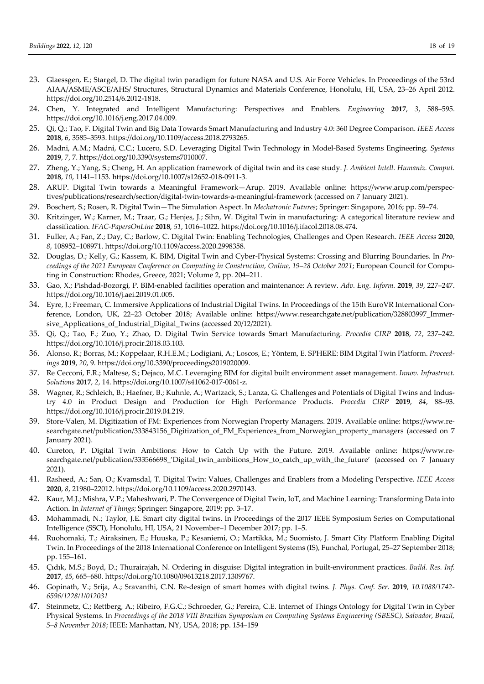- 23. Glaessgen, E.; Stargel, D. The digital twin paradigm for future NASA and U.S. Air Force Vehicles. In Proceedings of the 53rd AIAA/ASME/ASCE/AHS/ Structures, Structural Dynamics and Materials Conference, Honolulu, HI, USA, 23–26 April 2012. https://doi.org/10.2514/6.2012-1818.
- 24. Chen, Y. Integrated and Intelligent Manufacturing: Perspectives and Enablers. *Engineering* **2017**, *3*, 588–595. https://doi.org/10.1016/j.eng.2017.04.009.
- 25. Qi, Q.; Tao, F. Digital Twin and Big Data Towards Smart Manufacturing and Industry 4.0: 360 Degree Comparison. *IEEE Access* **2018**, *6*, 3585–3593. https://doi.org/10.1109/access.2018.2793265.
- 26. Madni, A.M.; Madni, C.C.; Lucero, S.D. Leveraging Digital Twin Technology in Model-Based Systems Engineering. *Systems* **2019**, *7*, 7. https://doi.org/10.3390/systems7010007.
- 27. Zheng, Y.; Yang, S.; Cheng, H. An application framework of digital twin and its case study. *J. Ambient Intell. Humaniz. Comput.* **2018**, *10*, 1141–1153. https://doi.org/10.1007/s12652-018-0911-3.
- 28. ARUP. Digital Twin towards a Meaningful Framework—Arup. 2019. Available online: https://www.arup.com/perspectives/publications/research/section/digital-twin-towards-a-meaningful-framework (accessed on 7 January 2021).
- 29. Boschert, S.; Rosen, R. Digital Twin—The Simulation Aspect. In *Mechatronic Futures*; Springer: Singapore, 2016; pp. 59–74.
- 30. Kritzinger, W.; Karner, M.; Traar, G.; Henjes, J.; Sihn, W. Digital Twin in manufacturing: A categorical literature review and classification. *IFAC-PapersOnLine* **2018**, *51*, 1016–1022. https://doi.org/10.1016/j.ifacol.2018.08.474.
- 31. Fuller, A.; Fan, Z.; Day, C.; Barlow, C. Digital Twin: Enabling Technologies, Challenges and Open Research. *IEEE Access* **2020**, *8*, 108952–108971. https://doi.org/10.1109/access.2020.2998358.
- 32. Douglas, D.; Kelly, G.; Kassem, K. BIM, Digital Twin and Cyber-Physical Systems: Crossing and Blurring Boundaries. In *Pro*ceedings of the 2021 European Conference on Computing in Construction, Online, 19-28 October 2021; European Council for Computing in Construction: Rhodes, Greece, 2021; Volume 2, pp. 204–211.
- 33. Gao, X.; Pishdad-Bozorgi, P. BIM-enabled facilities operation and maintenance: A review. *Adv. Eng. Inform.* **2019**, *39*, 227–247. https://doi.org/10.1016/j.aei.2019.01.005.
- 34. Eyre, J.; Freeman, C. Immersive Applications of Industrial Digital Twins. In Proceedings of the 15th EuroVR International Conference, London, UK, 22–23 October 2018; Available online: https://www.researchgate.net/publication/328803997\_Immersive\_Applications\_of\_Industrial\_Digital\_Twins (accessed 20/12/2021).
- 35. Qi, Q.; Tao, F.; Zuo, Y.; Zhao, D. Digital Twin Service towards Smart Manufacturing. *Procedia CIRP* **2018**, *72*, 237–242. https://doi.org/10.1016/j.procir.2018.03.103.
- 36. Alonso, R.; Borras, M.; Koppelaar, R.H.E.M.; Lodigiani, A.; Loscos, E.; Yöntem, E. SPHERE: BIM Digital Twin Platform. *Proceedings* **2019**, *20*, 9. https://doi.org/10.3390/proceedings2019020009.
- 37. Re Cecconi, F.R.; Maltese, S.; Dejaco, M.C. Leveraging BIM for digital built environment asset management. *Innov. Infrastruct. Solutions* **2017**, *2*, 14. https://doi.org/10.1007/s41062-017-0061-z.
- 38. Wagner, R.; Schleich, B.; Haefner, B.; Kuhnle, A.; Wartzack, S.; Lanza, G. Challenges and Potentials of Digital Twins and Industry 4.0 in Product Design and Production for High Performance Products. *Procedia CIRP* **2019**, *84*, 88–93. https://doi.org/10.1016/j.procir.2019.04.219.
- 39. Store-Valen, M. Digitization of FM: Experiences from Norwegian Property Managers. 2019. Available online: https://www.researchgate.net/publication/333843156\_Digitization\_of\_FM\_Experiences\_from\_Norwegian\_property\_managers (accessed on 7 January 2021).
- 40. Cureton, P. Digital Twin Ambitions: How to Catch Up with the Future. 2019. Available online: https://www.researchgate.net/publication/333566698\_'Digital\_twin\_ambitions\_How\_to\_catch\_up\_with\_the\_future' (accessed on 7 January 2021).
- 41. Rasheed, A.; San, O.; Kvamsdal, T. Digital Twin: Values, Challenges and Enablers from a Modeling Perspective. *IEEE Access* **2020**, *8*, 21980–22012. https://doi.org/10.1109/access.2020.2970143.
- 42. Kaur, M.J.; Mishra, V.P.; Maheshwari, P. The Convergence of Digital Twin, IoT, and Machine Learning: Transforming Data into Action. In *Internet of Things*; Springer: Singapore, 2019; pp. 3–17.
- 43. Mohammadi, N.; Taylor, J.E. Smart city digital twins. In Proceedings of the 2017 IEEE Symposium Series on Computational Intelligence (SSCI), Honolulu, HI, USA, 21 November–1 December 2017; pp. 1–5.
- 44. Ruohomaki, T.; Airaksinen, E.; Huuska, P.; Kesaniemi, O.; Martikka, M.; Suomisto, J. Smart City Platform Enabling Digital Twin. In Proceedings of the 2018 International Conference on Intelligent Systems (IS), Funchal, Portugal, 25–27 September 2018; pp. 155–161.
- 45. Çıdık, M.S.; Boyd, D.; Thurairajah, N. Ordering in disguise: Digital integration in built-environment practices. *Build. Res. Inf.* **2017**, *45*, 665–680. https://doi.org/10.1080/09613218.2017.1309767.
- 46. Gopinath, V.; Srija, A.; Sravanthi, C.N. Re-design of smart homes with digital twins. *J. Phys. Conf. Ser.* **2019**, *10.1088/1742- 6596/1228/1/012031*
- 47. Steinmetz, C.; Rettberg, A.; Ribeiro, F.G.C.; Schroeder, G.; Pereira, C.E. Internet of Things Ontology for Digital Twin in Cyber Physical Systems. In Proceedings of the 2018 VIII Brazilian Symposium on Computing Systems Engineering (SBESC), Salvador, Brazil, *5–8 November 2018*; IEEE: Manhattan, NY, USA, 2018; pp. 154–159